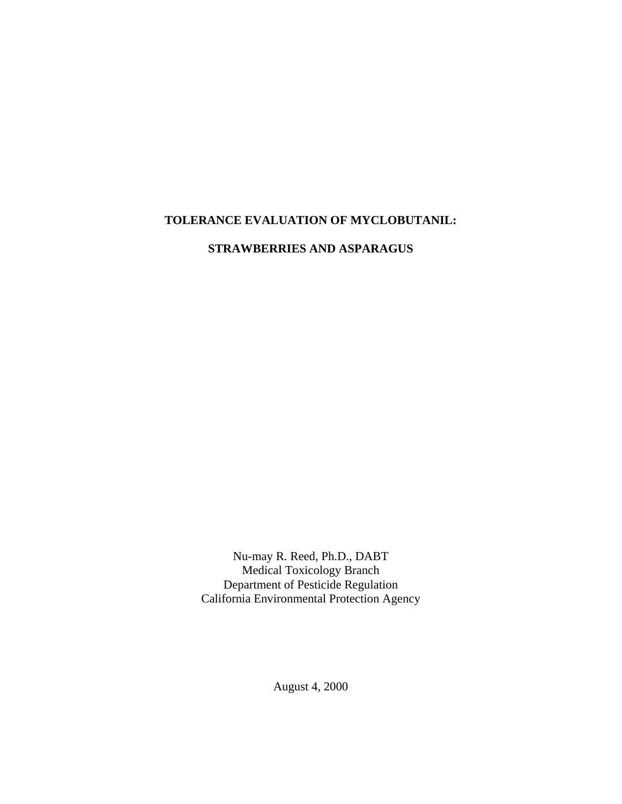## **TOLERANCE EVALUATION OF MYCLOBUTANIL:**

**STRAWBERRIES AND ASPARAGUS** 

Nu-may R. Reed, Ph.D., DABT Medical Toxicology Branch Department of Pesticide Regulation California Environmental Protection Agency

August 4, 2000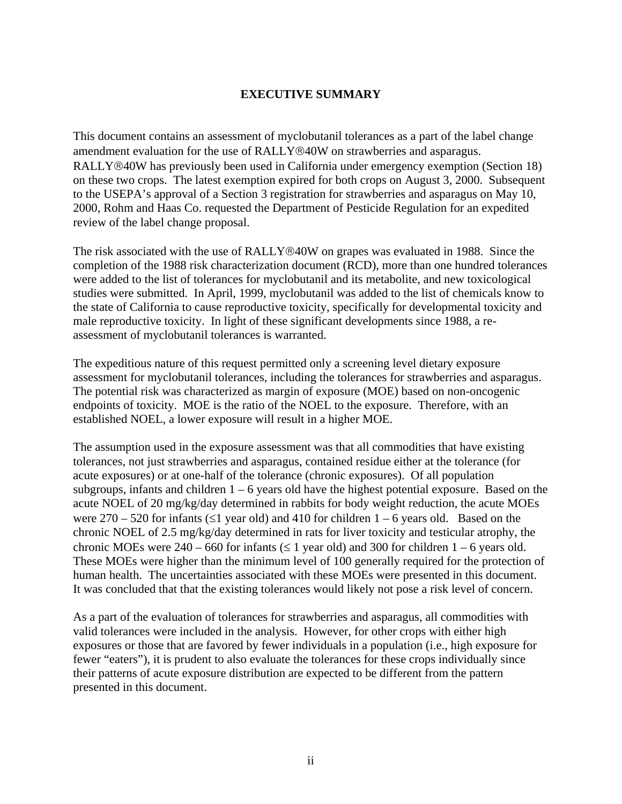#### **EXECUTIVE SUMMARY**

This document contains an assessment of myclobutanil tolerances as a part of the label change amendment evaluation for the use of RALLY®40W on strawberries and asparagus. RALLY®40W has previously been used in California under emergency exemption (Section 18) on these two crops. The latest exemption expired for both crops on August 3, 2000. Subsequent to the USEPA's approval of a Section 3 registration for strawberries and asparagus on May 10, 2000, Rohm and Haas Co. requested the Department of Pesticide Regulation for an expedited review of the label change proposal.

The risk associated with the use of RALLY®40W on grapes was evaluated in 1988. Since the completion of the 1988 risk characterization document (RCD), more than one hundred tolerances were added to the list of tolerances for myclobutanil and its metabolite, and new toxicological studies were submitted. In April, 1999, myclobutanil was added to the list of chemicals know to the state of California to cause reproductive toxicity, specifically for developmental toxicity and male reproductive toxicity. In light of these significant developments since 1988, a reassessment of myclobutanil tolerances is warranted.

The expeditious nature of this request permitted only a screening level dietary exposure assessment for myclobutanil tolerances, including the tolerances for strawberries and asparagus. The potential risk was characterized as margin of exposure (MOE) based on non-oncogenic endpoints of toxicity. MOE is the ratio of the NOEL to the exposure. Therefore, with an established NOEL, a lower exposure will result in a higher MOE.

The assumption used in the exposure assessment was that all commodities that have existing tolerances, not just strawberries and asparagus, contained residue either at the tolerance (for acute exposures) or at one-half of the tolerance (chronic exposures). Of all population subgroups, infants and children  $1 - 6$  years old have the highest potential exposure. Based on the acute NOEL of 20 mg/kg/day determined in rabbits for body weight reduction, the acute MOEs were  $270 - 520$  for infants ( $\leq 1$  year old) and 410 for children 1 – 6 years old. Based on the chronic NOEL of 2.5 mg/kg/day determined in rats for liver toxicity and testicular atrophy, the chronic MOEs were  $240 - 660$  for infants ( $\leq 1$  year old) and 300 for children  $1 - 6$  years old. These MOEs were higher than the minimum level of 100 generally required for the protection of human health. The uncertainties associated with these MOEs were presented in this document. It was concluded that that the existing tolerances would likely not pose a risk level of concern.

As a part of the evaluation of tolerances for strawberries and asparagus, all commodities with valid tolerances were included in the analysis. However, for other crops with either high exposures or those that are favored by fewer individuals in a population (i.e., high exposure for fewer "eaters"), it is prudent to also evaluate the tolerances for these crops individually since their patterns of acute exposure distribution are expected to be different from the pattern presented in this document.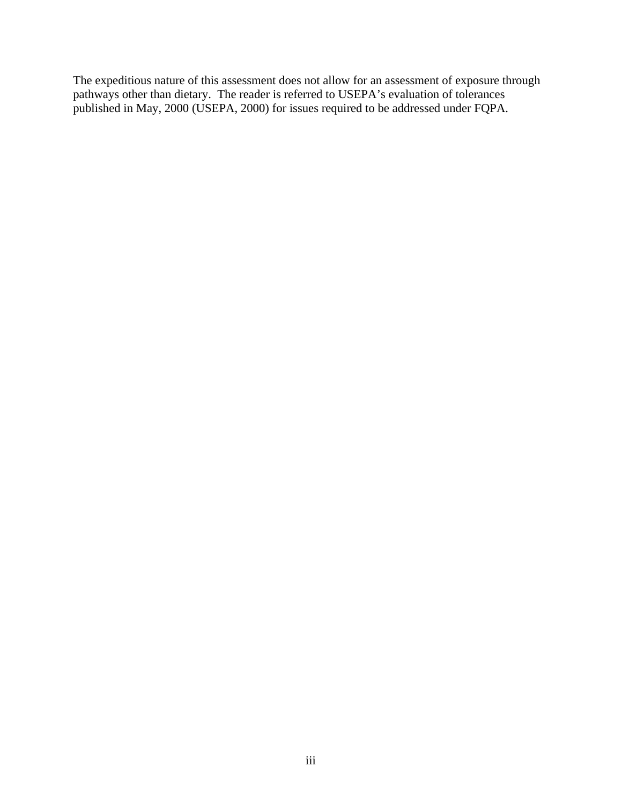The expeditious nature of this assessment does not allow for an assessment of exposure through pathways other than dietary. The reader is referred to USEPA's evaluation of tolerances published in May, 2000 (USEPA, 2000) for issues required to be addressed under FQPA.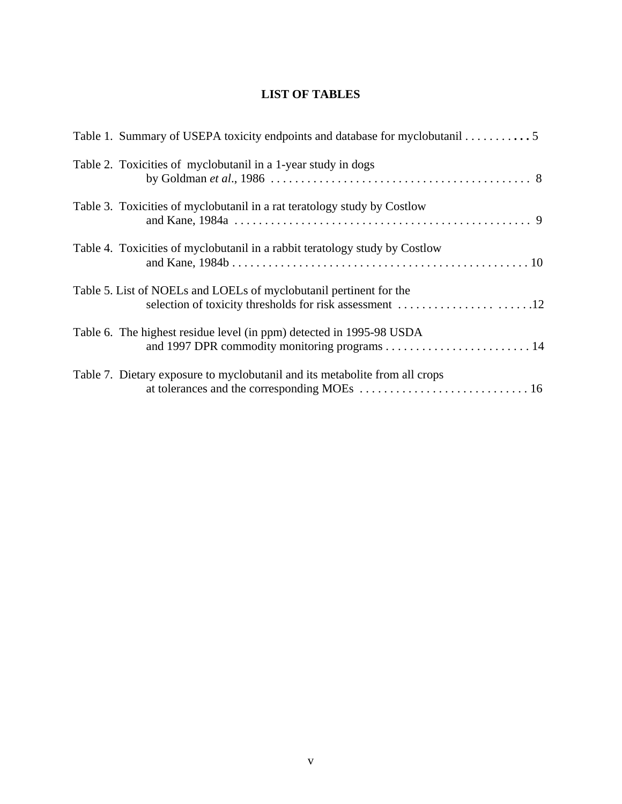# **LIST OF TABLES**

| Table 1. Summary of USEPA toxicity endpoints and database for myclobutanil 5                                                  |
|-------------------------------------------------------------------------------------------------------------------------------|
| Table 2. Toxicities of myclobutanil in a 1-year study in dogs                                                                 |
| Table 3. Toxicities of myclobutanil in a rat teratology study by Costlow                                                      |
| Table 4. Toxicities of myclobutanil in a rabbit teratology study by Costlow                                                   |
| Table 5. List of NOELs and LOELs of myclobutanil pertinent for the<br>selection of toxicity thresholds for risk assessment 12 |
| Table 6. The highest residue level (in ppm) detected in 1995-98 USDA                                                          |
| Table 7. Dietary exposure to myclobutanil and its metabolite from all crops                                                   |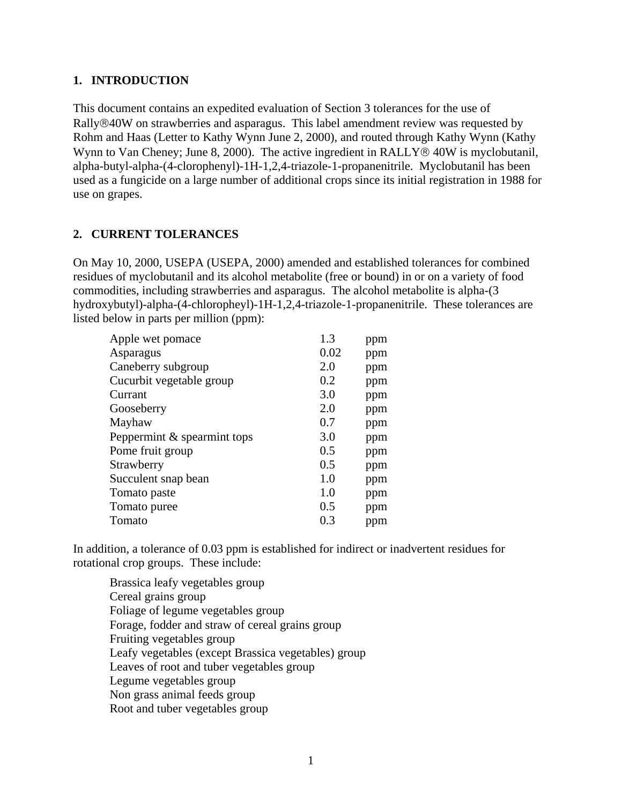#### <span id="page-5-0"></span>**1. INTRODUCTION**

This document contains an expedited evaluation of Section 3 tolerances for the use of Rally®40W on strawberries and asparagus. This label amendment review was requested by Rohm and Haas (Letter to Kathy Wynn June 2, 2000), and routed through Kathy Wynn (Kathy Wynn to Van Cheney; June 8, 2000). The active ingredient in RALLY<sup>®</sup> 40W is myclobutanil, alpha-butyl-alpha-(4-clorophenyl)-1H-1,2,4-triazole-1-propanenitrile. Myclobutanil has been used as a fungicide on a large number of additional crops since its initial registration in 1988 for use on grapes.

#### **2. CURRENT TOLERANCES**

On May 10, 2000, USEPA (USEPA, 2000) amended and established tolerances for combined residues of myclobutanil and its alcohol metabolite (free or bound) in or on a variety of food commodities, including strawberries and asparagus. The alcohol metabolite is alpha-(3 hydroxybutyl)-alpha-(4-chloropheyl)-1H-1,2,4-triazole-1-propanenitrile. These tolerances are listed below in parts per million (ppm):

| Apple wet pomace            | 1.3  | ppm |
|-----------------------------|------|-----|
| Asparagus                   | 0.02 | ppm |
| Caneberry subgroup          | 2.0  | ppm |
| Cucurbit vegetable group    | 0.2  | ppm |
| Currant                     | 3.0  | ppm |
| Gooseberry                  | 2.0  | ppm |
| Mayhaw                      | 0.7  | ppm |
| Peppermint & spearmint tops | 3.0  | ppm |
| Pome fruit group            | 0.5  | ppm |
| Strawberry                  | 0.5  | ppm |
| Succulent snap bean         | 1.0  | ppm |
| Tomato paste                | 1.0  | ppm |
| Tomato puree                | 0.5  | ppm |
| Tomato                      | 0.3  | ppm |

In addition, a tolerance of 0.03 ppm is established for indirect or inadvertent residues for rotational crop groups. These include:

Brassica leafy vegetables group Cereal grains group Foliage of legume vegetables group Forage, fodder and straw of cereal grains group Fruiting vegetables group Leafy vegetables (except Brassica vegetables) group Leaves of root and tuber vegetables group Legume vegetables group Non grass animal feeds group Root and tuber vegetables group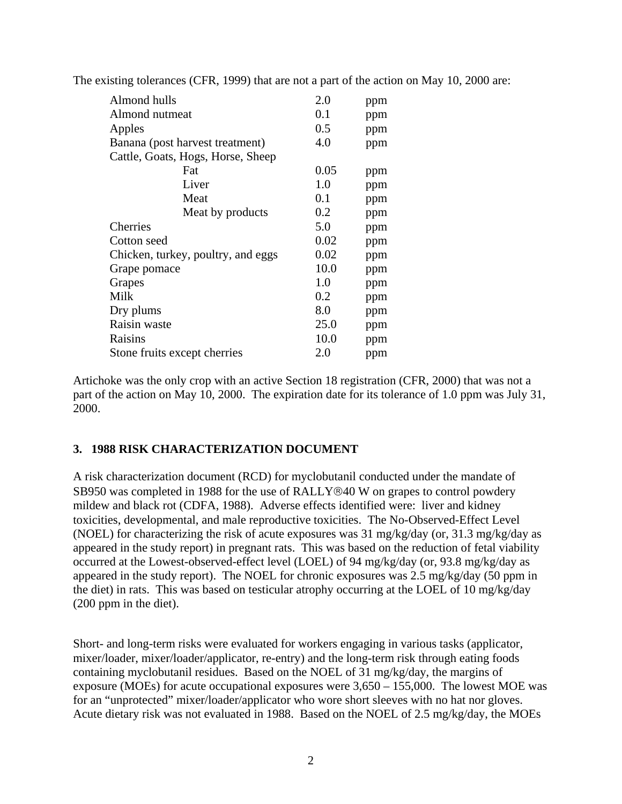| Almond hulls                       | 2.0  | ppm |
|------------------------------------|------|-----|
| Almond nutmeat                     | 0.1  | ppm |
| Apples                             | 0.5  | ppm |
| Banana (post harvest treatment)    | 4.0  | ppm |
| Cattle, Goats, Hogs, Horse, Sheep  |      |     |
| Fat                                | 0.05 | ppm |
| Liver                              | 1.0  | ppm |
| Meat                               | 0.1  | ppm |
| Meat by products                   | 0.2  | ppm |
| Cherries                           | 5.0  | ppm |
| Cotton seed                        | 0.02 | ppm |
| Chicken, turkey, poultry, and eggs | 0.02 | ppm |
| Grape pomace                       | 10.0 | ppm |
| Grapes                             | 1.0  | ppm |
| Milk                               | 0.2  | ppm |
| Dry plums                          | 8.0  | ppm |
| Raisin waste                       | 25.0 | ppm |
| Raisins                            | 10.0 | ppm |
| Stone fruits except cherries       | 2.0  | ppm |

<span id="page-6-0"></span>The existing tolerances (CFR, 1999) that are not a part of the action on May 10, 2000 are:

Artichoke was the only crop with an active Section 18 registration (CFR, 2000) that was not a part of the action on May 10, 2000. The expiration date for its tolerance of 1.0 ppm was July 31, 2000.

#### **3. 1988 RISK CHARACTERIZATION DOCUMENT**

A risk characterization document (RCD) for myclobutanil conducted under the mandate of SB950 was completed in 1988 for the use of RALLY®40 W on grapes to control powdery mildew and black rot (CDFA, 1988). Adverse effects identified were: liver and kidney toxicities, developmental, and male reproductive toxicities. The No-Observed-Effect Level (NOEL) for characterizing the risk of acute exposures was 31 mg/kg/day (or, 31.3 mg/kg/day as appeared in the study report) in pregnant rats. This was based on the reduction of fetal viability occurred at the Lowest-observed-effect level (LOEL) of 94 mg/kg/day (or, 93.8 mg/kg/day as appeared in the study report). The NOEL for chronic exposures was 2.5 mg/kg/day (50 ppm in the diet) in rats. This was based on testicular atrophy occurring at the LOEL of 10 mg/kg/day (200 ppm in the diet).

Short- and long-term risks were evaluated for workers engaging in various tasks (applicator, mixer/loader, mixer/loader/applicator, re-entry) and the long-term risk through eating foods containing myclobutanil residues. Based on the NOEL of 31 mg/kg/day, the margins of exposure (MOEs) for acute occupational exposures were 3,650 – 155,000. The lowest MOE was for an "unprotected" mixer/loader/applicator who wore short sleeves with no hat nor gloves. Acute dietary risk was not evaluated in 1988. Based on the NOEL of 2.5 mg/kg/day, the MOEs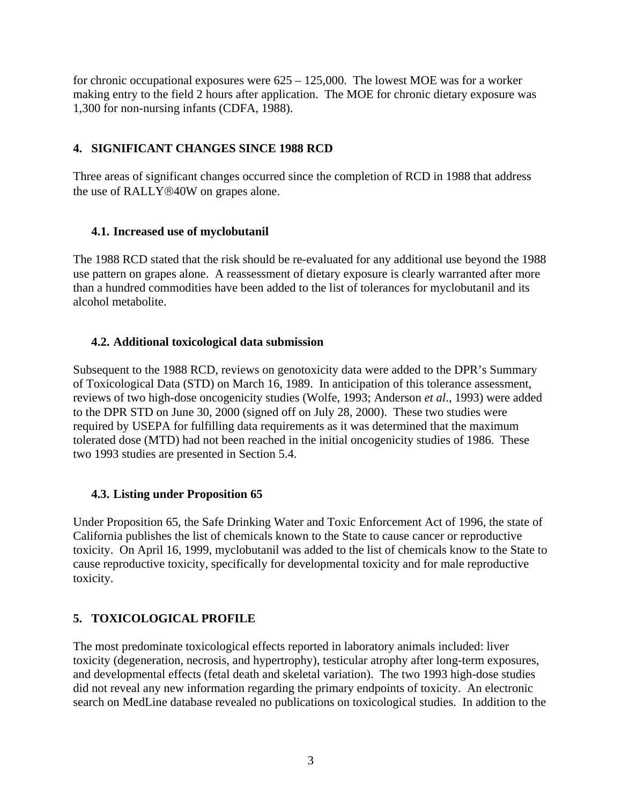<span id="page-7-0"></span>for chronic occupational exposures were  $625 - 125{,}000$ . The lowest MOE was for a worker making entry to the field 2 hours after application. The MOE for chronic dietary exposure was 1,300 for non-nursing infants (CDFA, 1988).

## **4. SIGNIFICANT CHANGES SINCE 1988 RCD**

Three areas of significant changes occurred since the completion of RCD in 1988 that address the use of RALLY®40W on grapes alone.

#### **4.1. Increased use of myclobutanil**

The 1988 RCD stated that the risk should be re-evaluated for any additional use beyond the 1988 use pattern on grapes alone. A reassessment of dietary exposure is clearly warranted after more than a hundred commodities have been added to the list of tolerances for myclobutanil and its alcohol metabolite.

#### **4.2. Additional toxicological data submission**

Subsequent to the 1988 RCD, reviews on genotoxicity data were added to the DPR's Summary of Toxicological Data (STD) on March 16, 1989. In anticipation of this tolerance assessment, reviews of two high-dose oncogenicity studies (Wolfe, 1993; Anderson *et al*., 1993) were added to the DPR STD on June 30, 2000 (signed off on July 28, 2000). These two studies were required by USEPA for fulfilling data requirements as it was determined that the maximum tolerated dose (MTD) had not been reached in the initial oncogenicity studies of 1986. These two 1993 studies are presented in Section 5.4.

#### **4.3. Listing under Proposition 65**

Under Proposition 65, the Safe Drinking Water and Toxic Enforcement Act of 1996, the state of California publishes the list of chemicals known to the State to cause cancer or reproductive toxicity. On April 16, 1999, myclobutanil was added to the list of chemicals know to the State to cause reproductive toxicity, specifically for developmental toxicity and for male reproductive toxicity.

# **5. TOXICOLOGICAL PROFILE**

The most predominate toxicological effects reported in laboratory animals included: liver toxicity (degeneration, necrosis, and hypertrophy), testicular atrophy after long-term exposures, and developmental effects (fetal death and skeletal variation). The two 1993 high-dose studies did not reveal any new information regarding the primary endpoints of toxicity. An electronic search on MedLine database revealed no publications on toxicological studies. In addition to the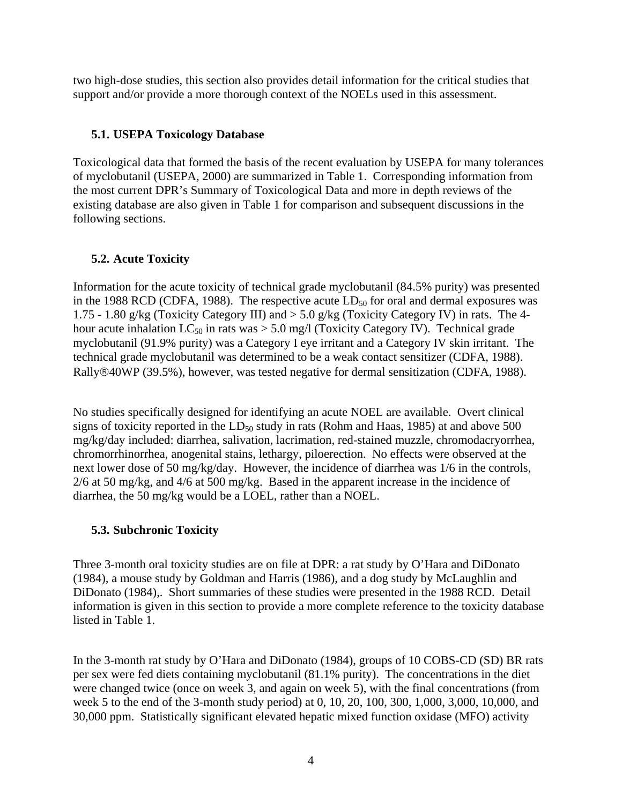<span id="page-8-0"></span>two high-dose studies, this section also provides detail information for the critical studies that support and/or provide a more thorough context of the NOELs used in this assessment.

#### **5.1. USEPA Toxicology Database**

Toxicological data that formed the basis of the recent evaluation by USEPA for many tolerances of myclobutanil (USEPA, 2000) are summarized in Table 1. Corresponding information from the most current DPR's Summary of Toxicological Data and more in depth reviews of the existing database are also given in Table 1 for comparison and subsequent discussions in the following sections.

#### **5.2. Acute Toxicity**

Information for the acute toxicity of technical grade myclobutanil (84.5% purity) was presented in the 1988 RCD (CDFA, 1988). The respective acute  $LD_{50}$  for oral and dermal exposures was 1.75 - 1.80 g/kg (Toxicity Category III) and > 5.0 g/kg (Toxicity Category IV) in rats. The 4 hour acute inhalation  $LC_{50}$  in rats was  $> 5.0$  mg/l (Toxicity Category IV). Technical grade myclobutanil (91.9% purity) was a Category I eye irritant and a Category IV skin irritant. The technical grade myclobutanil was determined to be a weak contact sensitizer (CDFA, 1988). Rally®40WP (39.5%), however, was tested negative for dermal sensitization (CDFA, 1988).

No studies specifically designed for identifying an acute NOEL are available. Overt clinical signs of toxicity reported in the  $LD_{50}$  study in rats (Rohm and Haas, 1985) at and above 500 mg/kg/day included: diarrhea, salivation, lacrimation, red-stained muzzle, chromodacryorrhea, chromorrhinorrhea, anogenital stains, lethargy, piloerection. No effects were observed at the next lower dose of 50 mg/kg/day. However, the incidence of diarrhea was 1/6 in the controls, 2/6 at 50 mg/kg, and 4/6 at 500 mg/kg. Based in the apparent increase in the incidence of diarrhea, the 50 mg/kg would be a LOEL, rather than a NOEL.

# **5.3. Subchronic Toxicity**

Three 3-month oral toxicity studies are on file at DPR: a rat study by O'Hara and DiDonato (1984), a mouse study by Goldman and Harris (1986), and a dog study by McLaughlin and DiDonato (1984),. Short summaries of these studies were presented in the 1988 RCD. Detail information is given in this section to provide a more complete reference to the toxicity database listed in Table 1.

In the 3-month rat study by O'Hara and DiDonato (1984), groups of 10 COBS-CD (SD) BR rats per sex were fed diets containing myclobutanil (81.1% purity). The concentrations in the diet were changed twice (once on week 3, and again on week 5), with the final concentrations (from week 5 to the end of the 3-month study period) at 0, 10, 20, 100, 300, 1,000, 3,000, 10,000, and 30,000 ppm. Statistically significant elevated hepatic mixed function oxidase (MFO) activity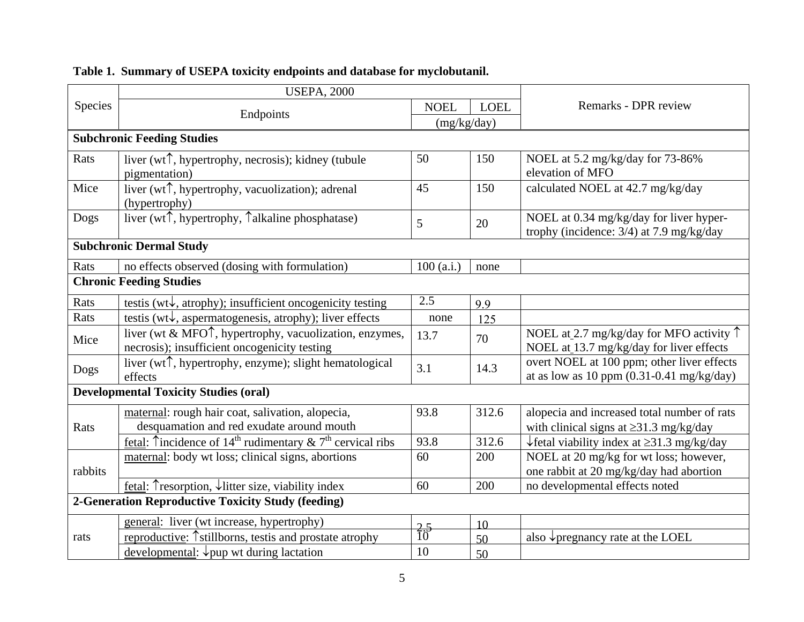|         | <b>USEPA, 2000</b>                                                                                                                      |                  |             |                                                                                                   |  |  |
|---------|-----------------------------------------------------------------------------------------------------------------------------------------|------------------|-------------|---------------------------------------------------------------------------------------------------|--|--|
| Species | Endpoints                                                                                                                               |                  | <b>LOEL</b> | Remarks - DPR review                                                                              |  |  |
|         |                                                                                                                                         | (mg/kg/day)      |             |                                                                                                   |  |  |
|         | <b>Subchronic Feeding Studies</b>                                                                                                       |                  |             |                                                                                                   |  |  |
| Rats    | liver (wt <sup><math>\uparrow</math></sup> , hypertrophy, necrosis); kidney (tubule                                                     | 50               | 150         | NOEL at 5.2 mg/kg/day for 73-86%                                                                  |  |  |
|         | pigmentation)                                                                                                                           |                  |             | elevation of MFO                                                                                  |  |  |
| Mice    | liver (wt <sup><math>\uparrow</math></sup> , hypertrophy, vacuolization); adrenal                                                       | 45               | 150         | calculated NOEL at 42.7 mg/kg/day                                                                 |  |  |
|         | (hypertrophy)                                                                                                                           |                  |             |                                                                                                   |  |  |
| Dogs    | liver (wt $\uparrow$ , hypertrophy, $\uparrow$ alkaline phosphatase)                                                                    | 5                | 20          | NOEL at 0.34 mg/kg/day for liver hyper-                                                           |  |  |
|         |                                                                                                                                         |                  |             | trophy (incidence: 3/4) at 7.9 mg/kg/day                                                          |  |  |
|         | <b>Subchronic Dermal Study</b>                                                                                                          |                  |             |                                                                                                   |  |  |
| Rats    | no effects observed (dosing with formulation)                                                                                           | 100(a.i.)        | none        |                                                                                                   |  |  |
|         | <b>Chronic Feeding Studies</b>                                                                                                          |                  |             |                                                                                                   |  |  |
| Rats    | testis ( $wt\downarrow$ , atrophy); insufficient oncogenicity testing                                                                   | 2.5              | 9.9         |                                                                                                   |  |  |
| Rats    | testis ( $wt\downarrow$ , aspermatogenesis, atrophy); liver effects                                                                     |                  | 125         |                                                                                                   |  |  |
| Mice    | liver (wt & MFO <sup><math>\uparrow</math></sup> , hypertrophy, vacuolization, enzymes,<br>necrosis); insufficient oncogenicity testing | 13.7             | 70          | NOEL at 2.7 mg/kg/day for MFO activity $\uparrow$<br>NOEL at 13.7 mg/kg/day for liver effects     |  |  |
| Dogs    | liver (wt <sup><math>\uparrow</math></sup> , hypertrophy, enzyme); slight hematological<br>effects                                      | 3.1              | 14.3        | overt NOEL at 100 ppm; other liver effects<br>at as low as 10 ppm $(0.31-0.41 \text{ mg/kg/day})$ |  |  |
|         | <b>Developmental Toxicity Studies (oral)</b>                                                                                            |                  |             |                                                                                                   |  |  |
|         | maternal: rough hair coat, salivation, alopecia,                                                                                        | 93.8             | 312.6       | alopecia and increased total number of rats                                                       |  |  |
| Rats    | desquamation and red exudate around mouth                                                                                               |                  |             | with clinical signs at $\geq$ 31.3 mg/kg/day                                                      |  |  |
|         | <u>fetal</u> : Tincidence of 14 <sup>th</sup> rudimentary & 7 <sup>th</sup> cervical ribs                                               | 93.8             | 312.6       | $\sqrt{\frac{1}{1}}$ fetal viability index at $\geq$ 31.3 mg/kg/day                               |  |  |
|         | maternal: body wt loss; clinical signs, abortions                                                                                       | 60               | 200         | NOEL at 20 mg/kg for wt loss; however,                                                            |  |  |
| rabbits |                                                                                                                                         |                  |             | one rabbit at 20 mg/kg/day had abortion                                                           |  |  |
|         | <u>fetal</u> : Tresorption, $\downarrow$ litter size, viability index                                                                   | 60               | 200         | no developmental effects noted                                                                    |  |  |
|         | 2-Generation Reproductive Toxicity Study (feeding)                                                                                      |                  |             |                                                                                                   |  |  |
|         | general: liver (wt increase, hypertrophy)                                                                                               |                  | 10          |                                                                                                   |  |  |
| rats    | reproductive: 1 <sup>stillborns</sup> , test is and prostate atrophy                                                                    | $\frac{2.5}{10}$ | 50          | also $\sqrt{\frac{1}{2}}$ pregnancy rate at the LOEL                                              |  |  |
|         | developmental: $\downarrow$ pup wt during lactation                                                                                     | 10               | 50          |                                                                                                   |  |  |

# **Table 1. Summary of USEPA toxicity endpoints and database for myclobutanil.**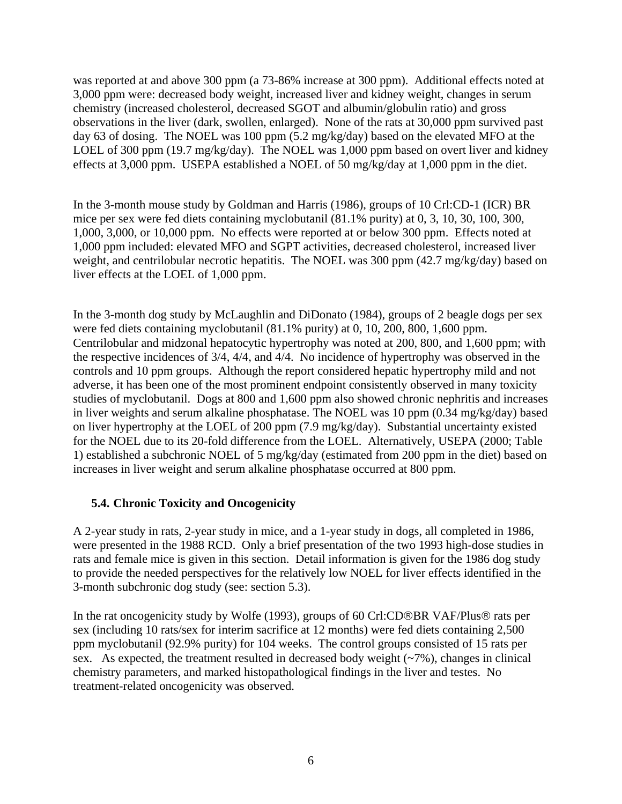<span id="page-10-0"></span>was reported at and above 300 ppm (a 73-86% increase at 300 ppm). Additional effects noted at 3,000 ppm were: decreased body weight, increased liver and kidney weight, changes in serum chemistry (increased cholesterol, decreased SGOT and albumin/globulin ratio) and gross observations in the liver (dark, swollen, enlarged). None of the rats at 30,000 ppm survived past day 63 of dosing. The NOEL was 100 ppm (5.2 mg/kg/day) based on the elevated MFO at the LOEL of 300 ppm (19.7 mg/kg/day). The NOEL was 1,000 ppm based on overt liver and kidney effects at 3,000 ppm. USEPA established a NOEL of 50 mg/kg/day at 1,000 ppm in the diet.

In the 3-month mouse study by Goldman and Harris (1986), groups of 10 Crl:CD-1 (ICR) BR mice per sex were fed diets containing myclobutanil (81.1% purity) at 0, 3, 10, 30, 100, 300, 1,000, 3,000, or 10,000 ppm. No effects were reported at or below 300 ppm. Effects noted at 1,000 ppm included: elevated MFO and SGPT activities, decreased cholesterol, increased liver weight, and centrilobular necrotic hepatitis. The NOEL was 300 ppm (42.7 mg/kg/day) based on liver effects at the LOEL of 1,000 ppm.

were fed diets containing myclobutanil (81.1% purity) at 0, 10, 200, 800, 1,600 ppm. increases in liver weight and serum alkaline phosphatase occurred at 800 ppm. In the 3-month dog study by McLaughlin and DiDonato (1984), groups of 2 beagle dogs per sex Centrilobular and midzonal hepatocytic hypertrophy was noted at 200, 800, and 1,600 ppm; with the respective incidences of 3/4, 4/4, and 4/4. No incidence of hypertrophy was observed in the controls and 10 ppm groups. Although the report considered hepatic hypertrophy mild and not adverse, it has been one of the most prominent endpoint consistently observed in many toxicity studies of myclobutanil. Dogs at 800 and 1,600 ppm also showed chronic nephritis and increases in liver weights and serum alkaline phosphatase. The NOEL was 10 ppm (0.34 mg/kg/day) based on liver hypertrophy at the LOEL of 200 ppm (7.9 mg/kg/day). Substantial uncertainty existed for the NOEL due to its 20-fold difference from the LOEL. Alternatively, USEPA (2000; Table 1) established a subchronic NOEL of 5 mg/kg/day (estimated from 200 ppm in the diet) based on

#### **5.4. Chronic Toxicity and Oncogenicity**

A 2-year study in rats, 2-year study in mice, and a 1-year study in dogs, all completed in 1986, were presented in the 1988 RCD. Only a brief presentation of the two 1993 high-dose studies in rats and female mice is given in this section. Detail information is given for the 1986 dog study to provide the needed perspectives for the relatively low NOEL for liver effects identified in the 3-month subchronic dog study (see: section 5.3).

In the rat oncogenicity study by Wolfe (1993), groups of 60 Crl:CD®BR VAF/Plus® rats per sex (including 10 rats/sex for interim sacrifice at 12 months) were fed diets containing 2,500 ppm myclobutanil (92.9% purity) for 104 weeks. The control groups consisted of 15 rats per sex. As expected, the treatment resulted in decreased body weight  $(-7%)$ , changes in clinical chemistry parameters, and marked histopathological findings in the liver and testes. No treatment-related oncogenicity was observed.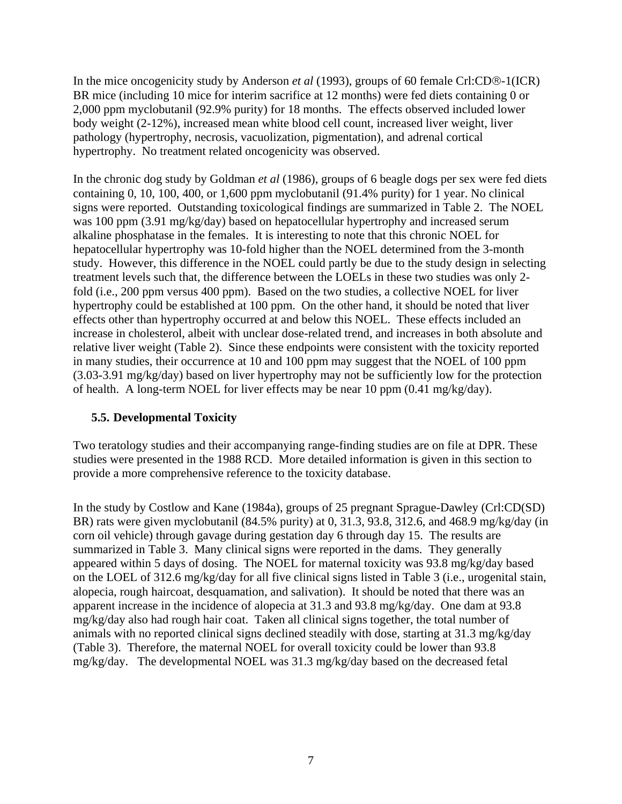<span id="page-11-0"></span>In the mice oncogenicity study by Anderson *et al* (1993), groups of 60 female Crl:CD®-1(ICR) BR mice (including 10 mice for interim sacrifice at 12 months) were fed diets containing 0 or 2,000 ppm myclobutanil (92.9% purity) for 18 months. The effects observed included lower body weight (2-12%), increased mean white blood cell count, increased liver weight, liver pathology (hypertrophy, necrosis, vacuolization, pigmentation), and adrenal cortical hypertrophy. No treatment related oncogenicity was observed.

In the chronic dog study by Goldman *et al* (1986), groups of 6 beagle dogs per sex were fed diets containing 0, 10, 100, 400, or 1,600 ppm myclobutanil (91.4% purity) for 1 year. No clinical signs were reported. Outstanding toxicological findings are summarized in Table 2. The NOEL was 100 ppm (3.91 mg/kg/day) based on hepatocellular hypertrophy and increased serum alkaline phosphatase in the females. It is interesting to note that this chronic NOEL for hepatocellular hypertrophy was 10-fold higher than the NOEL determined from the 3-month study. However, this difference in the NOEL could partly be due to the study design in selecting treatment levels such that, the difference between the LOELs in these two studies was only 2 fold (i.e., 200 ppm versus 400 ppm). Based on the two studies, a collective NOEL for liver hypertrophy could be established at 100 ppm. On the other hand, it should be noted that liver effects other than hypertrophy occurred at and below this NOEL. These effects included an increase in cholesterol, albeit with unclear dose-related trend, and increases in both absolute and relative liver weight (Table 2). Since these endpoints were consistent with the toxicity reported in many studies, their occurrence at 10 and 100 ppm may suggest that the NOEL of 100 ppm ([3.03-3.91](https://3.03-3.91) mg/kg/day) based on liver hypertrophy may not be sufficiently low for the protection of health. A long-term NOEL for liver effects may be near 10 ppm (0.41 mg/kg/day).

#### **5.5. Developmental Toxicity**

Two teratology studies and their accompanying range-finding studies are on file at DPR. These studies were presented in the 1988 RCD. More detailed information is given in this section to provide a more comprehensive reference to the toxicity database.

In the study by Costlow and Kane (1984a), groups of 25 pregnant Sprague-Dawley (Crl:CD(SD) BR) rats were given myclobutanil (84.5% purity) at 0, 31.3, 93.8, 312.6, and 468.9 mg/kg/day (in corn oil vehicle) through gavage during gestation day 6 through day 15. The results are summarized in Table 3. Many clinical signs were reported in the dams. They generally appeared within 5 days of dosing. The NOEL for maternal toxicity was 93.8 mg/kg/day based on the LOEL of 312.6 mg/kg/day for all five clinical signs listed in Table 3 (i.e., urogenital stain, alopecia, rough haircoat, desquamation, and salivation). It should be noted that there was an apparent increase in the incidence of alopecia at 31.3 and 93.8 mg/kg/day. One dam at 93.8 mg/kg/day also had rough hair coat. Taken all clinical signs together, the total number of animals with no reported clinical signs declined steadily with dose, starting at 31.3 mg/kg/day (Table 3). Therefore, the maternal NOEL for overall toxicity could be lower than 93.8 mg/kg/day. The developmental NOEL was 31.3 mg/kg/day based on the decreased fetal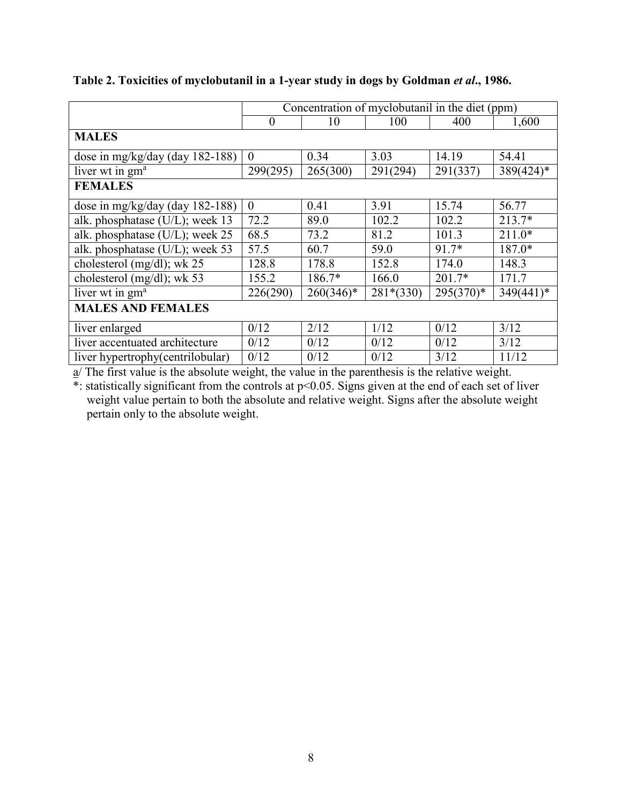|                                   | Concentration of myclobutanil in the diet (ppm) |              |             |             |              |  |
|-----------------------------------|-------------------------------------------------|--------------|-------------|-------------|--------------|--|
|                                   | $\theta$                                        | 10           | 100         | 400         | 1,600        |  |
| <b>MALES</b>                      |                                                 |              |             |             |              |  |
| dose in mg/kg/day (day 182-188)   | $\theta$                                        | 0.34         | 3.03        | 14.19       | 54.41        |  |
| liver wt in gm <sup>a</sup>       | 299(295)                                        | 265(300)     | 291(294)    | 291(337)    | $389(424)$ * |  |
| <b>FEMALES</b>                    |                                                 |              |             |             |              |  |
| dose in mg/kg/day (day 182-188)   | $\theta$                                        | 0.41         | 3.91        | 15.74       | 56.77        |  |
| alk. phosphatase (U/L); week 13   | 72.2                                            | 89.0         | 102.2       | 102.2       | $213.7*$     |  |
| alk. phosphatase (U/L); week 25   | 68.5                                            | 73.2         | 81.2        | 101.3       | $211.0*$     |  |
| alk. phosphatase (U/L); week 53   | 57.5                                            | 60.7         | 59.0        | 91.7*       | 187.0*       |  |
| cholesterol (mg/dl); wk 25        | 128.8                                           | 178.8        | 152.8       | 174.0       | 148.3        |  |
| cholesterol (mg/dl); wk 53        | 155.2                                           | 186.7*       | 166.0       | $201.7*$    | 171.7        |  |
| liver wt in gm <sup>a</sup>       | 226(290)                                        | $260(346)^*$ | $281*(330)$ | $295(370)*$ | $349(441)^*$ |  |
| <b>MALES AND FEMALES</b>          |                                                 |              |             |             |              |  |
| liver enlarged                    | 0/12                                            | 2/12         | 1/12        | 0/12        | 3/12         |  |
| liver accentuated architecture    | 0/12                                            | 0/12         | 0/12        | 0/12        | 3/12         |  |
| liver hypertrophy (centrilobular) | 0/12                                            | 0/12         | 0/12        | 3/12        | 11/12        |  |

## **Table 2. Toxicities of myclobutanil in a 1-year study in dogs by Goldman** *et al***., 1986.**

 $a/$  The first value is the absolute weight, the value in the parenthesis is the relative weight.

 $*$ : statistically significant from the controls at  $p<0.05$ . Signs given at the end of each set of liver weight value pertain to both the absolute and relative weight. Signs after the absolute weight pertain only to the absolute weight.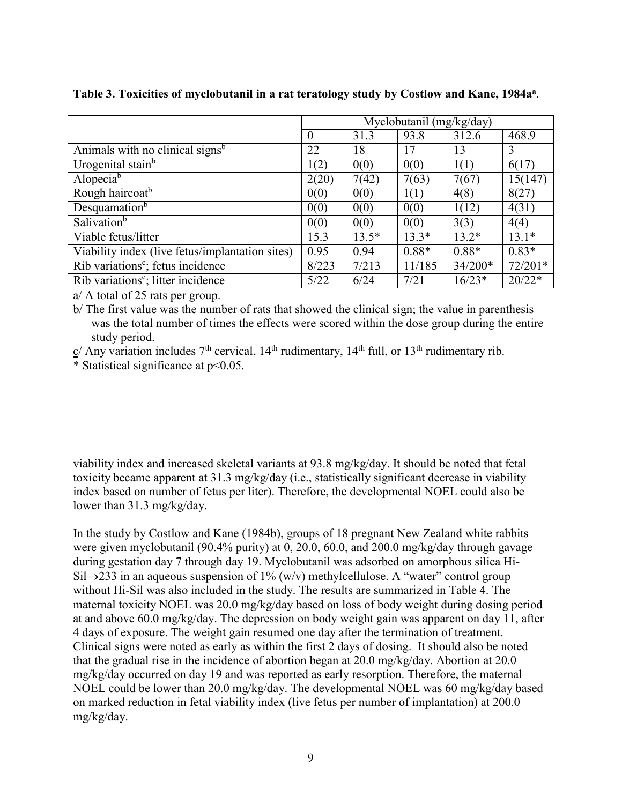|                                                 | Myclobutanil (mg/kg/day) |         |         |           |           |
|-------------------------------------------------|--------------------------|---------|---------|-----------|-----------|
|                                                 | $\Omega$                 | 31.3    | 93.8    | 312.6     | 468.9     |
| Animals with no clinical signs <sup>b</sup>     | 22                       | 18      | 17      | 13        | 3         |
| Urogenital stain <sup>b</sup>                   | 1(2)                     | 0(0)    | 0(0)    | 1(1)      | 6(17)     |
| Alopecia <sup>b</sup>                           | 2(20)                    | 7(42)   | 7(63)   | 7(67)     | 15(147)   |
| Rough haircoat <sup>b</sup>                     | 0(0)                     | 0(0)    | 1(1)    | 4(8)      | 8(27)     |
| Desquamation <sup>b</sup>                       | 0(0)                     | 0(0)    | 0(0)    | 1(12)     | 4(31)     |
| Salivation <sup>b</sup>                         | 0(0)                     | 0(0)    | 0(0)    | 3(3)      | 4(4)      |
| Viable fetus/litter                             | 15.3                     | $13.5*$ | $13.3*$ | $13.2*$   | $13.1*$   |
| Viability index (live fetus/implantation sites) | 0.95                     | 0.94    | $0.88*$ | $0.88*$   | $0.83*$   |
| Rib variations <sup>c</sup> ; fetus incidence   | 8/223                    | 7/213   | 11/185  | $34/200*$ | $72/201*$ |
| Rib variations <sup>c</sup> ; litter incidence  | 5/22                     | 6/24    | 7/21    | $16/23*$  | $20/22*$  |

**Table 3. Toxicities of myclobutanil in a rat teratology study by Costlow and Kane, 1984aa**.

a/ A total of 25 rats per group.

b/ The first value was the number of rats that showed the clinical sign; the value in parenthesis was the total number of times the effects were scored within the dose group during the entire study period.

 $c/$  Any variation includes  $7<sup>th</sup>$  cervical,  $14<sup>th</sup>$  rudimentary,  $14<sup>th</sup>$  full, or  $13<sup>th</sup>$  rudimentary rib.

\* Statistical significance at p<0.05.

viability index and increased skeletal variants at 93.8 mg/kg/day. It should be noted that fetal toxicity became apparent at 31.3 mg/kg/day (i.e., statistically significant decrease in viability index based on number of fetus per liter). Therefore, the developmental NOEL could also be lower than 31.3 mg/kg/day.

In the study by Costlow and Kane (1984b), groups of 18 pregnant New Zealand white rabbits were given myclobutanil (90.4% purity) at 0, 20.0, 60.0, and 200.0 mg/kg/day through gavage during gestation day 7 through day 19. Myclobutanil was adsorbed on amorphous silica Hi-Sil $\rightarrow$ 233 in an aqueous suspension of 1% (w/v) methylcellulose. A "water" control group without Hi-Sil was also included in the study. The results are summarized in Table 4. The maternal toxicity NOEL was 20.0 mg/kg/day based on loss of body weight during dosing period at and above 60.0 mg/kg/day. The depression on body weight gain was apparent on day 11, after 4 days of exposure. The weight gain resumed one day after the termination of treatment. Clinical signs were noted as early as within the first 2 days of dosing. It should also be noted that the gradual rise in the incidence of abortion began at 20.0 mg/kg/day. Abortion at 20.0 mg/kg/day occurred on day 19 and was reported as early resorption. Therefore, the maternal NOEL could be lower than 20.0 mg/kg/day. The developmental NOEL was 60 mg/kg/day based on marked reduction in fetal viability index (live fetus per number of implantation) at 200.0 mg/kg/day.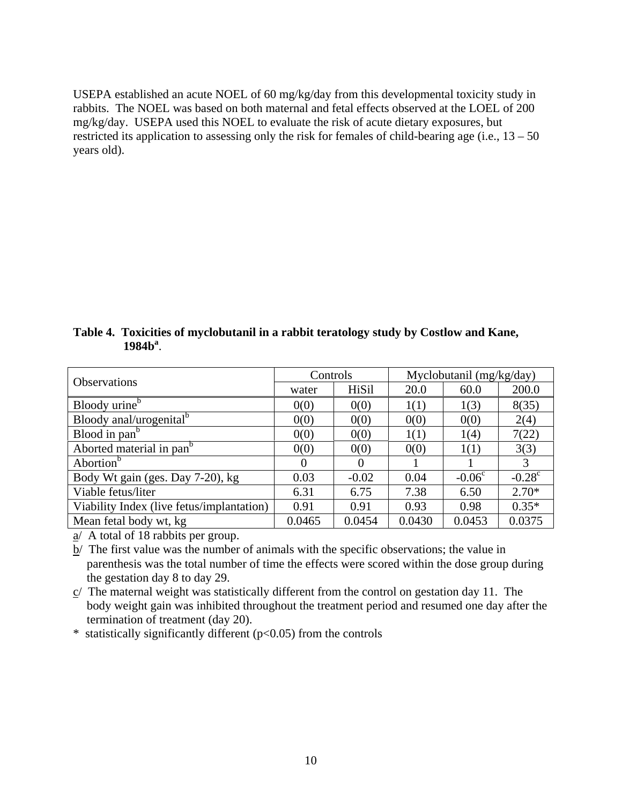USEPA established an acute NOEL of 60 mg/kg/day from this developmental toxicity study in rabbits. The NOEL was based on both maternal and fetal effects observed at the LOEL of 200 mg/kg/day. USEPA used this NOEL to evaluate the risk of acute dietary exposures, but restricted its application to assessing only the risk for females of child-bearing age (i.e.,  $13 - 50$ ) years old).

| Table 4. Toxicities of myclobutanil in a rabbit teratology study by Costlow and Kane, |
|---------------------------------------------------------------------------------------|
| 1984 <sup>a</sup>                                                                     |

| <b>Observations</b>                       | Controls |          | Myclobutanil (mg/kg/day) |          |                 |  |
|-------------------------------------------|----------|----------|--------------------------|----------|-----------------|--|
|                                           | water    | HiSil    | 20.0                     | 60.0     | 200.0           |  |
| Bloody urine <sup>b</sup>                 | 0(0)     | 0(0)     | 1(1)                     | 1(3)     | 8(35)           |  |
| Bloody anal/urogenital <sup>b</sup>       | 0(0)     | 0(0)     | 0(0)                     | 0(0)     | 2(4)            |  |
| Blood in pan <sup>b</sup>                 | 0(0)     | 0(0)     | 1(1)                     | 1(4)     | 7(22)           |  |
| Aborted material in pan <sup>b</sup>      | 0(0)     | 0(0)     | 0(0)                     | 1(1)     | 3(3)            |  |
| Abortion <sup>b</sup>                     | $\Omega$ | $\Omega$ |                          |          | 3               |  |
| Body Wt gain (ges. Day 7-20), kg          | 0.03     | $-0.02$  | 0.04                     | $-0.06c$ | $-0.28^{\circ}$ |  |
| Viable fetus/liter                        | 6.31     | 6.75     | 7.38                     | 6.50     | $2.70*$         |  |
| Viability Index (live fetus/implantation) | 0.91     | 0.91     | 0.93                     | 0.98     | $0.35*$         |  |
| Mean fetal body wt, kg                    | 0.0465   | 0.0454   | 0.0430                   | 0.0453   | 0.0375          |  |

 $a/$  A total of 18 rabbits per group.

b/ The first value was the number of animals with the specific observations; the value in parenthesis was the total number of time the effects were scored within the dose group during the gestation day 8 to day 29.

c/ The maternal weight was statistically different from the control on gestation day 11. The body weight gain was inhibited throughout the treatment period and resumed one day after the termination of treatment (day 20).

 $*$  statistically significantly different ( $p<0.05$ ) from the controls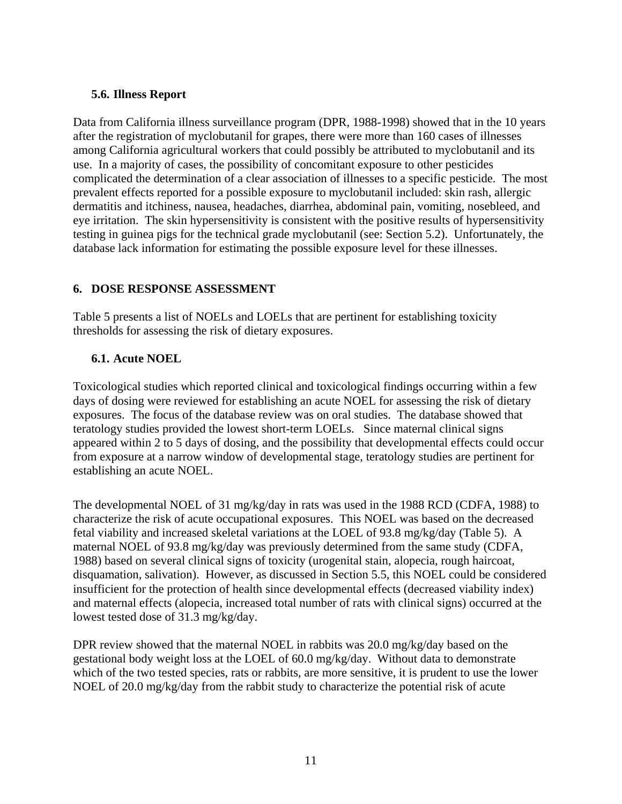#### <span id="page-15-0"></span>**5.6. Illness Report**

Data from California illness surveillance program (DPR, 1988-1998) showed that in the 10 years after the registration of myclobutanil for grapes, there were more than 160 cases of illnesses among California agricultural workers that could possibly be attributed to myclobutanil and its use. In a majority of cases, the possibility of concomitant exposure to other pesticides complicated the determination of a clear association of illnesses to a specific pesticide. The most prevalent effects reported for a possible exposure to myclobutanil included: skin rash, allergic dermatitis and itchiness, nausea, headaches, diarrhea, abdominal pain, vomiting, nosebleed, and eye irritation. The skin hypersensitivity is consistent with the positive results of hypersensitivity testing in guinea pigs for the technical grade myclobutanil (see: Section 5.2). Unfortunately, the database lack information for estimating the possible exposure level for these illnesses.

#### **6. DOSE RESPONSE ASSESSMENT**

Table 5 presents a list of NOELs and LOELs that are pertinent for establishing toxicity thresholds for assessing the risk of dietary exposures.

#### **6.1. Acute NOEL**

Toxicological studies which reported clinical and toxicological findings occurring within a few days of dosing were reviewed for establishing an acute NOEL for assessing the risk of dietary exposures. The focus of the database review was on oral studies. The database showed that teratology studies provided the lowest short-term LOELs. Since maternal clinical signs appeared within 2 to 5 days of dosing, and the possibility that developmental effects could occur from exposure at a narrow window of developmental stage, teratology studies are pertinent for establishing an acute NOEL.

The developmental NOEL of 31 mg/kg/day in rats was used in the 1988 RCD (CDFA, 1988) to characterize the risk of acute occupational exposures. This NOEL was based on the decreased fetal viability and increased skeletal variations at the LOEL of 93.8 mg/kg/day (Table 5). A maternal NOEL of 93.8 mg/kg/day was previously determined from the same study (CDFA, 1988) based on several clinical signs of toxicity (urogenital stain, alopecia, rough haircoat, disquamation, salivation). However, as discussed in Section 5.5, this NOEL could be considered insufficient for the protection of health since developmental effects (decreased viability index) and maternal effects (alopecia, increased total number of rats with clinical signs) occurred at the lowest tested dose of 31.3 mg/kg/day.

DPR review showed that the maternal NOEL in rabbits was 20.0 mg/kg/day based on the gestational body weight loss at the LOEL of 60.0 mg/kg/day. Without data to demonstrate which of the two tested species, rats or rabbits, are more sensitive, it is prudent to use the lower NOEL of 20.0 mg/kg/day from the rabbit study to characterize the potential risk of acute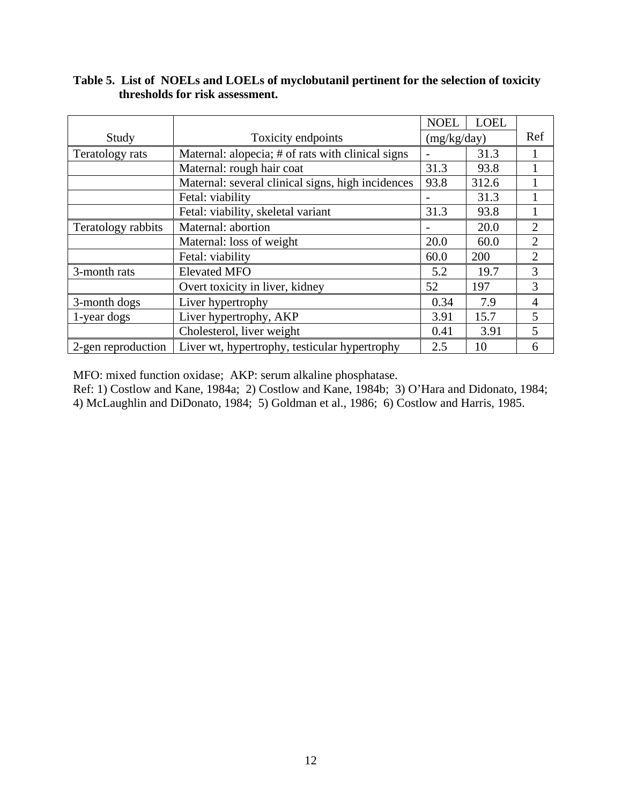### **Table 5. List of NOELs and LOELs of myclobutanil pertinent for the selection of toxicity thresholds for risk assessment.**

|                    |                                                   | <b>NOEL</b>     | <b>LOEL</b> |                |
|--------------------|---------------------------------------------------|-----------------|-------------|----------------|
| Study              | Toxicity endpoints                                |                 | (mg/kg/day) |                |
| Teratology rats    | Maternal: alopecia; # of rats with clinical signs | $\qquad \qquad$ | 31.3        |                |
|                    | Maternal: rough hair coat                         | 31.3            | 93.8        |                |
|                    | Maternal: several clinical signs, high incidences | 93.8            | 312.6       |                |
|                    | Fetal: viability                                  |                 | 31.3        |                |
|                    | Fetal: viability, skeletal variant                | 31.3            | 93.8        |                |
| Teratology rabbits | Maternal: abortion                                |                 | 20.0        | $\overline{2}$ |
|                    | Maternal: loss of weight                          | 20.0            | 60.0        | $\overline{2}$ |
|                    | Fetal: viability                                  | 60.0            | 200         | $\overline{2}$ |
| 3-month rats       | <b>Elevated MFO</b>                               | 5.2             | 19.7        | 3              |
|                    | Overt toxicity in liver, kidney                   | 52              | 197         | 3              |
| 3-month dogs       | Liver hypertrophy                                 | 0.34            | 7.9         | $\overline{4}$ |
| 1-year dogs        | Liver hypertrophy, AKP                            | 3.91            | 15.7        | 5              |
|                    | Cholesterol, liver weight                         | 0.41            | 3.91        | 5              |
| 2-gen reproduction | Liver wt, hypertrophy, testicular hypertrophy     | 2.5             | 10          | 6              |

MFO: mixed function oxidase; AKP: serum alkaline phosphatase.

Ref: 1) Costlow and Kane, 1984a; 2) Costlow and Kane, 1984b; 3) O'Hara and Didonato, 1984; 4) McLaughlin and DiDonato, 1984; 5) Goldman et al., 1986; 6) Costlow and Harris, 1985.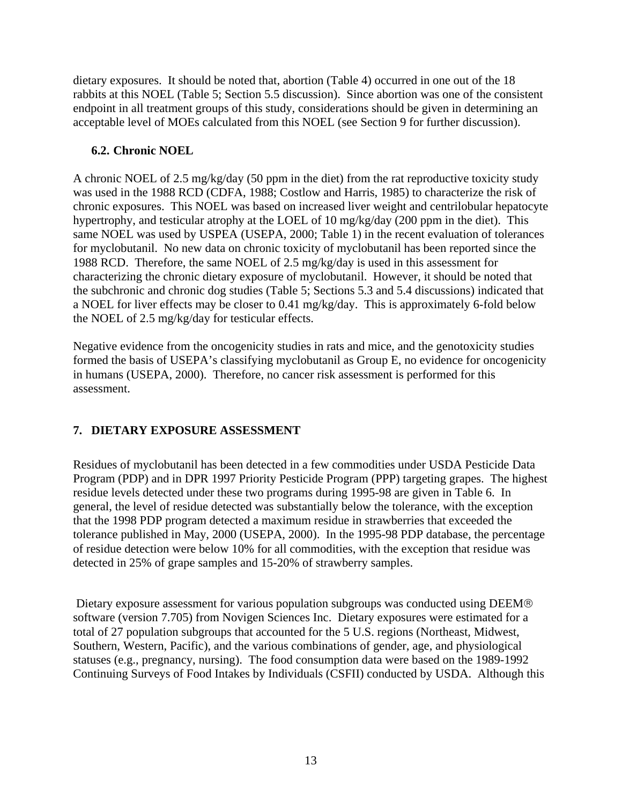<span id="page-17-0"></span>dietary exposures. It should be noted that, abortion (Table 4) occurred in one out of the 18 rabbits at this NOEL (Table 5; Section 5.5 discussion). Since abortion was one of the consistent endpoint in all treatment groups of this study, considerations should be given in determining an acceptable level of MOEs calculated from this NOEL (see Section 9 for further discussion).

### **6.2. Chronic NOEL**

A chronic NOEL of 2.5 mg/kg/day (50 ppm in the diet) from the rat reproductive toxicity study was used in the 1988 RCD (CDFA, 1988; Costlow and Harris, 1985) to characterize the risk of chronic exposures. This NOEL was based on increased liver weight and centrilobular hepatocyte hypertrophy, and testicular atrophy at the LOEL of 10 mg/kg/day (200 ppm in the diet). This same NOEL was used by USPEA (USEPA, 2000; Table 1) in the recent evaluation of tolerances for myclobutanil. No new data on chronic toxicity of myclobutanil has been reported since the 1988 RCD. Therefore, the same NOEL of 2.5 mg/kg/day is used in this assessment for characterizing the chronic dietary exposure of myclobutanil. However, it should be noted that the subchronic and chronic dog studies (Table 5; Sections 5.3 and 5.4 discussions) indicated that a NOEL for liver effects may be closer to 0.41 mg/kg/day. This is approximately 6-fold below the NOEL of 2.5 mg/kg/day for testicular effects.

Negative evidence from the oncogenicity studies in rats and mice, and the genotoxicity studies formed the basis of USEPA's classifying myclobutanil as Group E, no evidence for oncogenicity in humans (USEPA, 2000). Therefore, no cancer risk assessment is performed for this assessment.

# **7. DIETARY EXPOSURE ASSESSMENT**

Residues of myclobutanil has been detected in a few commodities under USDA Pesticide Data Program (PDP) and in DPR 1997 Priority Pesticide Program (PPP) targeting grapes. The highest residue levels detected under these two programs during 1995-98 are given in Table 6. In general, the level of residue detected was substantially below the tolerance, with the exception that the 1998 PDP program detected a maximum residue in strawberries that exceeded the tolerance published in May, 2000 (USEPA, 2000). In the 1995-98 PDP database, the percentage of residue detection were below 10% for all commodities, with the exception that residue was detected in 25% of grape samples and 15-20% of strawberry samples.

 Dietary exposure assessment for various population subgroups was conducted using DEEM® software (version 7.705) from Novigen Sciences Inc. Dietary exposures were estimated for a total of 27 population subgroups that accounted for the 5 U.S. regions (Northeast, Midwest, Southern, Western, Pacific), and the various combinations of gender, age, and physiological statuses (e.g., pregnancy, nursing). The food consumption data were based on the 1989-1992 Continuing Surveys of Food Intakes by Individuals (CSFII) conducted by USDA. Although this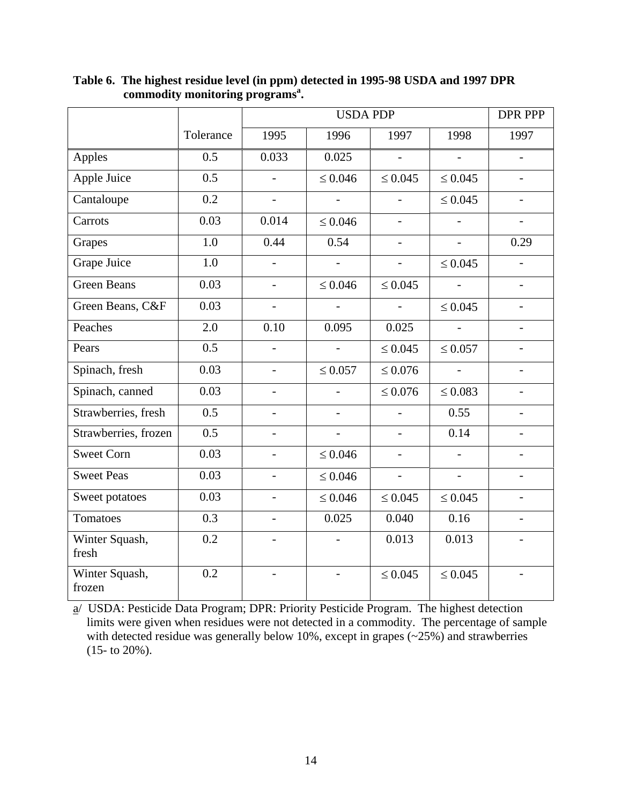|                          |                  |                          | DPR PPP                  |                          |                          |                          |
|--------------------------|------------------|--------------------------|--------------------------|--------------------------|--------------------------|--------------------------|
|                          | Tolerance        | 1995                     | 1996                     | 1997                     | 1998                     | 1997                     |
| Apples                   | 0.5              | 0.033                    | 0.025                    | $\overline{\phantom{a}}$ | $-$                      | $\blacksquare$           |
| Apple Juice              | 0.5              |                          | $\leq 0.046$             | $\leq 0.045$             | $\leq 0.045$             |                          |
| Cantaloupe               | 0.2              | $\overline{\phantom{a}}$ | $\overline{a}$           | $\overline{a}$           | $\leq 0.045$             | $\overline{a}$           |
| Carrots                  | 0.03             | 0.014                    | $\leq 0.046$             | $\overline{\phantom{a}}$ | $\blacksquare$           | $\overline{\phantom{0}}$ |
| Grapes                   | 1.0              | 0.44                     | 0.54                     |                          |                          | 0.29                     |
| Grape Juice              | $\overline{1.0}$ | $\overline{a}$           | $\overline{\phantom{0}}$ | $\overline{\phantom{0}}$ | $\leq 0.045$             | $\equiv$                 |
| <b>Green Beans</b>       | 0.03             | $\overline{a}$           | $\leq 0.046$             | $\leq 0.045$             | $\overline{a}$           | $\overline{a}$           |
| Green Beans, C&F         | 0.03             | $\overline{\phantom{0}}$ |                          | $\blacksquare$           | $\leq 0.045$             | $\blacksquare$           |
| Peaches                  | 2.0              | 0.10                     | 0.095                    | 0.025                    | $\Box$                   |                          |
| Pears                    | 0.5              |                          |                          | $\leq 0.045$             | $\leq 0.057$             |                          |
| Spinach, fresh           | 0.03             | $\overline{a}$           | $\leq 0.057$             | $\leq 0.076$             | $\overline{\phantom{0}}$ | $\overline{a}$           |
| Spinach, canned          | 0.03             | $\overline{\phantom{a}}$ |                          | $\leq 0.076$             | $\leq 0.083$             | $\overline{\phantom{a}}$ |
| Strawberries, fresh      | 0.5              |                          |                          |                          | 0.55                     |                          |
| Strawberries, frozen     | 0.5              |                          |                          | $\overline{a}$           | 0.14                     |                          |
| <b>Sweet Corn</b>        | 0.03             |                          | $\leq 0.046$             | $\overline{\phantom{0}}$ |                          |                          |
| <b>Sweet Peas</b>        | 0.03             | $\overline{\phantom{a}}$ | $\leq 0.046$             | $\overline{\phantom{a}}$ | $\blacksquare$           | $\blacksquare$           |
| Sweet potatoes           | 0.03             | $\overline{\phantom{a}}$ | $\leq 0.046$             | $\leq 0.045$             | $\leq 0.045$             | $\overline{\phantom{a}}$ |
| Tomatoes                 | 0.3              |                          | 0.025                    | 0.040                    | 0.16                     |                          |
| Winter Squash,<br>fresh  | 0.2              |                          |                          | 0.013                    | 0.013                    |                          |
| Winter Squash,<br>frozen | 0.2              |                          |                          | $\leq 0.045$             | $\leq 0.045$             |                          |

**Table 6. The highest residue level (in ppm) detected in 1995-98 USDA and 1997 DPR commodity monitoring programs<sup>a</sup> .** 

a/ USDA: Pesticide Data Program; DPR: Priority Pesticide Program. The highest detection limits were given when residues were not detected in a commodity. The percentage of sample with detected residue was generally below 10%, except in grapes  $(-25%)$  and strawberries (15- to 20%).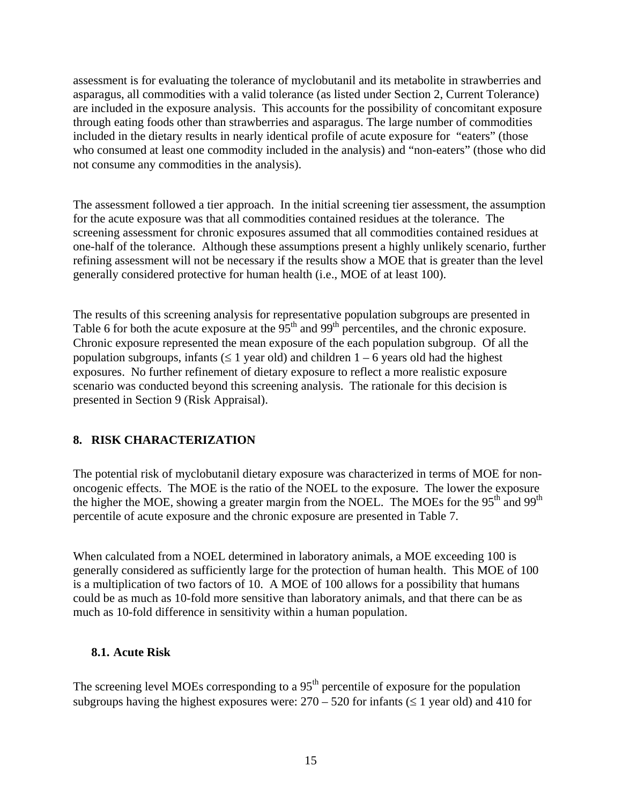<span id="page-19-0"></span>assessment is for evaluating the tolerance of myclobutanil and its metabolite in strawberries and asparagus, all commodities with a valid tolerance (as listed under Section 2, Current Tolerance) are included in the exposure analysis. This accounts for the possibility of concomitant exposure through eating foods other than strawberries and asparagus. The large number of commodities included in the dietary results in nearly identical profile of acute exposure for "eaters" (those who consumed at least one commodity included in the analysis) and "non-eaters" (those who did not consume any commodities in the analysis).

The assessment followed a tier approach. In the initial screening tier assessment, the assumption for the acute exposure was that all commodities contained residues at the tolerance. The screening assessment for chronic exposures assumed that all commodities contained residues at one-half of the tolerance. Although these assumptions present a highly unlikely scenario, further refining assessment will not be necessary if the results show a MOE that is greater than the level generally considered protective for human health (i.e., MOE of at least 100).

The results of this screening analysis for representative population subgroups are presented in Table 6 for both the acute exposure at the 95<sup>th</sup> and 99<sup>th</sup> percentiles, and the chronic exposure. Chronic exposure represented the mean exposure of the each population subgroup. Of all the population subgroups, infants ( $\leq 1$  year old) and children 1 – 6 years old had the highest exposures. No further refinement of dietary exposure to reflect a more realistic exposure scenario was conducted beyond this screening analysis. The rationale for this decision is presented in Section 9 (Risk Appraisal).

#### **8. RISK CHARACTERIZATION**

The potential risk of myclobutanil dietary exposure was characterized in terms of MOE for nononcogenic effects. The MOE is the ratio of the NOEL to the exposure. The lower the exposure the higher the MOE, showing a greater margin from the NOEL. The MOEs for the 95<sup>th</sup> and 99<sup>th</sup> percentile of acute exposure and the chronic exposure are presented in Table 7.

When calculated from a NOEL determined in laboratory animals, a MOE exceeding 100 is generally considered as sufficiently large for the protection of human health. This MOE of 100 is a multiplication of two factors of 10. A MOE of 100 allows for a possibility that humans could be as much as 10-fold more sensitive than laboratory animals, and that there can be as much as 10-fold difference in sensitivity within a human population.

#### **8.1. Acute Risk**

The screening level MOEs corresponding to a  $95<sup>th</sup>$  percentile of exposure for the population subgroups having the highest exposures were:  $270 - 520$  for infants ( $\leq 1$  year old) and 410 for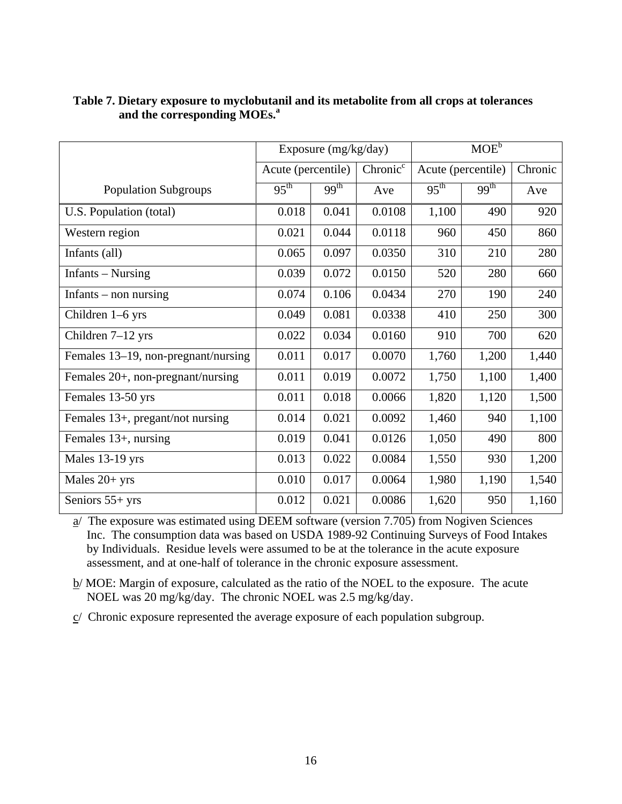|                                     | Exposure (mg/kg/day) |                  |                      | $MOE^b$            |                  |         |
|-------------------------------------|----------------------|------------------|----------------------|--------------------|------------------|---------|
|                                     | Acute (percentile)   |                  | Chronic <sup>c</sup> | Acute (percentile) |                  | Chronic |
| <b>Population Subgroups</b>         | 95 <sup>th</sup>     | 99 <sup>th</sup> | Ave                  | $95^{\text{th}}$   | 99 <sup>th</sup> | Ave     |
| U.S. Population (total)             | 0.018                | 0.041            | 0.0108               | 1,100              | 490              | 920     |
| Western region                      | 0.021                | 0.044            | 0.0118               | 960                | 450              | 860     |
| Infants (all)                       | 0.065                | 0.097            | 0.0350               | 310                | 210              | 280     |
| Infants – Nursing                   | 0.039                | 0.072            | 0.0150               | 520                | 280              | 660     |
| Infants $-$ non nursing             | 0.074                | 0.106            | 0.0434               | 270                | 190              | 240     |
| Children 1-6 yrs                    | 0.049                | 0.081            | 0.0338               | 410                | 250              | 300     |
| Children $7-12$ yrs                 | 0.022                | 0.034            | 0.0160               | 910                | 700              | 620     |
| Females 13-19, non-pregnant/nursing | 0.011                | 0.017            | 0.0070               | 1,760              | 1,200            | 1,440   |
| Females 20+, non-pregnant/nursing   | 0.011                | 0.019            | 0.0072               | 1,750              | 1,100            | 1,400   |
| Females 13-50 yrs                   | 0.011                | 0.018            | 0.0066               | 1,820              | 1,120            | 1,500   |
| Females 13+, pregant/not nursing    | 0.014                | 0.021            | 0.0092               | 1,460              | 940              | 1,100   |
| Females 13+, nursing                | 0.019                | 0.041            | 0.0126               | 1,050              | 490              | 800     |
| Males 13-19 yrs                     | 0.013                | 0.022            | 0.0084               | 1,550              | 930              | 1,200   |
| Males $20+$ yrs                     | 0.010                | 0.017            | 0.0064               | 1,980              | 1,190            | 1,540   |
| Seniors $55+$ yrs                   | 0.012                | 0.021            | 0.0086               | 1,620              | 950              | 1,160   |

#### **and the corresponding MOEs.<sup>a</sup> Table 7. Dietary exposure to myclobutanil and its metabolite from all crops at tolerances**

a/ The exposure was estimated using DEEM software (version 7.705) from Nogiven Sciences Inc. The consumption data was based on USDA 1989-92 Continuing Surveys of Food Intakes by Individuals. Residue levels were assumed to be at the tolerance in the acute exposure assessment, and at one-half of tolerance in the chronic exposure assessment.

b/ MOE: Margin of exposure, calculated as the ratio of the NOEL to the exposure. The acute NOEL was 20 mg/kg/day. The chronic NOEL was 2.5 mg/kg/day.

 $c/$  Chronic exposure represented the average exposure of each population subgroup.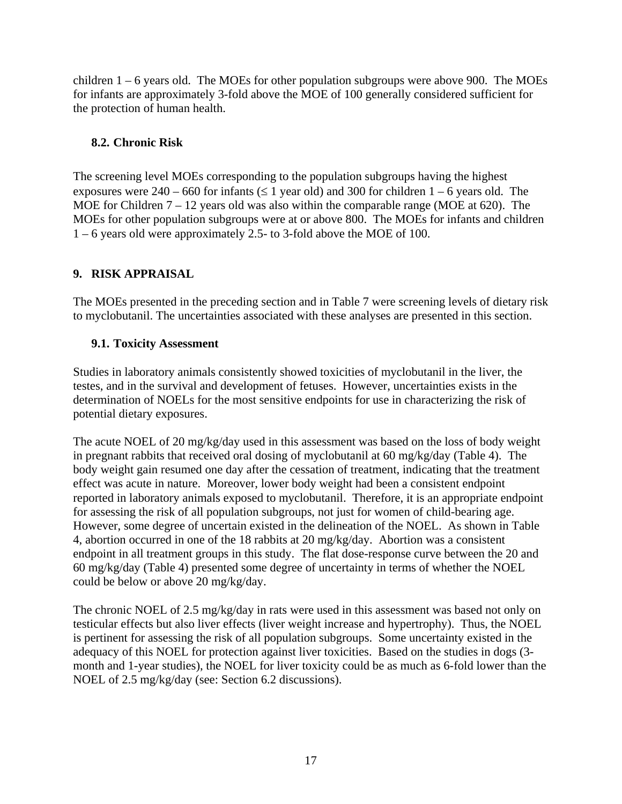<span id="page-21-0"></span>children  $1 - 6$  years old. The MOEs for other population subgroups were above 900. The MOEs for infants are approximately 3-fold above the MOE of 100 generally considered sufficient for the protection of human health.

### **8.2. Chronic Risk**

The screening level MOEs corresponding to the population subgroups having the highest exposures were  $240 - 660$  for infants ( $\leq 1$  year old) and 300 for children  $1 - 6$  years old. The MOE for Children 7 – 12 years old was also within the comparable range (MOE at 620). The MOEs for other population subgroups were at or above 800. The MOEs for infants and children 1 – 6 years old were approximately 2.5- to 3-fold above the MOE of 100.

## **9. RISK APPRAISAL**

The MOEs presented in the preceding section and in Table 7 were screening levels of dietary risk to myclobutanil. The uncertainties associated with these analyses are presented in this section.

## **9.1. Toxicity Assessment**

Studies in laboratory animals consistently showed toxicities of myclobutanil in the liver, the testes, and in the survival and development of fetuses. However, uncertainties exists in the determination of NOELs for the most sensitive endpoints for use in characterizing the risk of potential dietary exposures.

The acute NOEL of 20 mg/kg/day used in this assessment was based on the loss of body weight in pregnant rabbits that received oral dosing of myclobutanil at 60 mg/kg/day (Table 4). The body weight gain resumed one day after the cessation of treatment, indicating that the treatment effect was acute in nature. Moreover, lower body weight had been a consistent endpoint reported in laboratory animals exposed to myclobutanil. Therefore, it is an appropriate endpoint for assessing the risk of all population subgroups, not just for women of child-bearing age. However, some degree of uncertain existed in the delineation of the NOEL. As shown in Table 4, abortion occurred in one of the 18 rabbits at 20 mg/kg/day. Abortion was a consistent endpoint in all treatment groups in this study. The flat dose-response curve between the 20 and 60 mg/kg/day (Table 4) presented some degree of uncertainty in terms of whether the NOEL could be below or above 20 mg/kg/day.

The chronic NOEL of 2.5 mg/kg/day in rats were used in this assessment was based not only on testicular effects but also liver effects (liver weight increase and hypertrophy). Thus, the NOEL is pertinent for assessing the risk of all population subgroups. Some uncertainty existed in the adequacy of this NOEL for protection against liver toxicities. Based on the studies in dogs (3 month and 1-year studies), the NOEL for liver toxicity could be as much as 6-fold lower than the NOEL of 2.5 mg/kg/day (see: Section 6.2 discussions).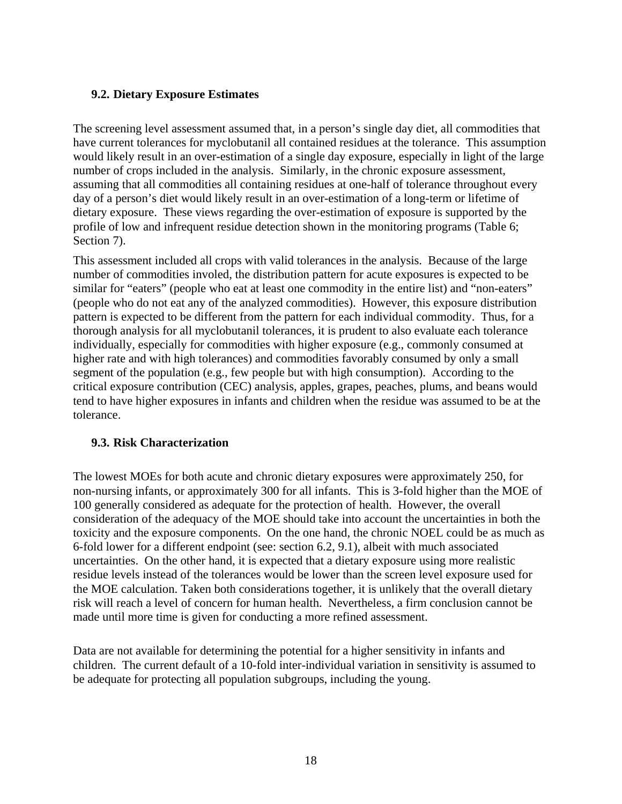#### <span id="page-22-0"></span>**9.2. Dietary Exposure Estimates**

The screening level assessment assumed that, in a person's single day diet, all commodities that have current tolerances for myclobutanil all contained residues at the tolerance. This assumption would likely result in an over-estimation of a single day exposure, especially in light of the large number of crops included in the analysis. Similarly, in the chronic exposure assessment, assuming that all commodities all containing residues at one-half of tolerance throughout every day of a person's diet would likely result in an over-estimation of a long-term or lifetime of dietary exposure. These views regarding the over-estimation of exposure is supported by the profile of low and infrequent residue detection shown in the monitoring programs (Table 6; Section 7).

This assessment included all crops with valid tolerances in the analysis. Because of the large number of commodities involed, the distribution pattern for acute exposures is expected to be similar for "eaters" (people who eat at least one commodity in the entire list) and "non-eaters" (people who do not eat any of the analyzed commodities). However, this exposure distribution pattern is expected to be different from the pattern for each individual commodity. Thus, for a thorough analysis for all myclobutanil tolerances, it is prudent to also evaluate each tolerance individually, especially for commodities with higher exposure (e.g., commonly consumed at higher rate and with high tolerances) and commodities favorably consumed by only a small segment of the population (e.g., few people but with high consumption). According to the critical exposure contribution (CEC) analysis, apples, grapes, peaches, plums, and beans would tend to have higher exposures in infants and children when the residue was assumed to be at the tolerance.

#### **9.3. Risk Characterization**

The lowest MOEs for both acute and chronic dietary exposures were approximately 250, for non-nursing infants, or approximately 300 for all infants. This is 3-fold higher than the MOE of 100 generally considered as adequate for the protection of health. However, the overall consideration of the adequacy of the MOE should take into account the uncertainties in both the toxicity and the exposure components. On the one hand, the chronic NOEL could be as much as 6-fold lower for a different endpoint (see: section 6.2, 9.1), albeit with much associated uncertainties. On the other hand, it is expected that a dietary exposure using more realistic residue levels instead of the tolerances would be lower than the screen level exposure used for the MOE calculation. Taken both considerations together, it is unlikely that the overall dietary risk will reach a level of concern for human health. Nevertheless, a firm conclusion cannot be made until more time is given for conducting a more refined assessment.

Data are not available for determining the potential for a higher sensitivity in infants and children. The current default of a 10-fold inter-individual variation in sensitivity is assumed to be adequate for protecting all population subgroups, including the young.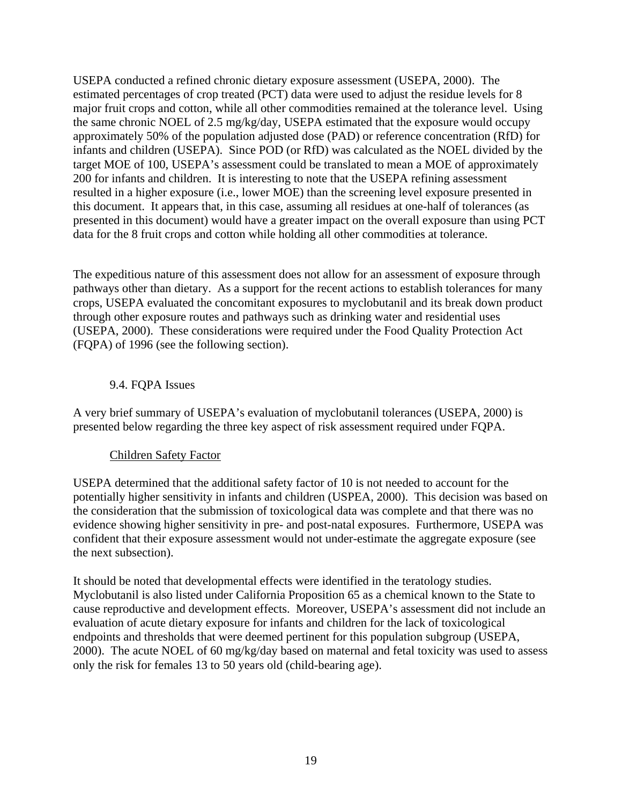<span id="page-23-0"></span>USEPA conducted a refined chronic dietary exposure assessment (USEPA, 2000). The estimated percentages of crop treated (PCT) data were used to adjust the residue levels for 8 major fruit crops and cotton, while all other commodities remained at the tolerance level. Using the same chronic NOEL of 2.5 mg/kg/day, USEPA estimated that the exposure would occupy approximately 50% of the population adjusted dose (PAD) or reference concentration (RfD) for infants and children (USEPA). Since POD (or RfD) was calculated as the NOEL divided by the target MOE of 100, USEPA's assessment could be translated to mean a MOE of approximately 200 for infants and children. It is interesting to note that the USEPA refining assessment resulted in a higher exposure (i.e., lower MOE) than the screening level exposure presented in this document. It appears that, in this case, assuming all residues at one-half of tolerances (as presented in this document) would have a greater impact on the overall exposure than using PCT data for the 8 fruit crops and cotton while holding all other commodities at tolerance.

The expeditious nature of this assessment does not allow for an assessment of exposure through pathways other than dietary. As a support for the recent actions to establish tolerances for many crops, USEPA evaluated the concomitant exposures to myclobutanil and its break down product through other exposure routes and pathways such as drinking water and residential uses (USEPA, 2000). These considerations were required under the Food Quality Protection Act (FQPA) of 1996 (see the following section).

#### 9.4. FQPA Issues

A very brief summary of USEPA's evaluation of myclobutanil tolerances (USEPA, 2000) is presented below regarding the three key aspect of risk assessment required under FQPA.

#### Children Safety Factor

USEPA determined that the additional safety factor of 10 is not needed to account for the potentially higher sensitivity in infants and children (USPEA, 2000). This decision was based on the consideration that the submission of toxicological data was complete and that there was no evidence showing higher sensitivity in pre- and post-natal exposures. Furthermore, USEPA was confident that their exposure assessment would not under-estimate the aggregate exposure (see the next subsection).

It should be noted that developmental effects were identified in the teratology studies. Myclobutanil is also listed under California Proposition 65 as a chemical known to the State to cause reproductive and development effects. Moreover, USEPA's assessment did not include an evaluation of acute dietary exposure for infants and children for the lack of toxicological endpoints and thresholds that were deemed pertinent for this population subgroup (USEPA, 2000). The acute NOEL of 60 mg/kg/day based on maternal and fetal toxicity was used to assess only the risk for females 13 to 50 years old (child-bearing age).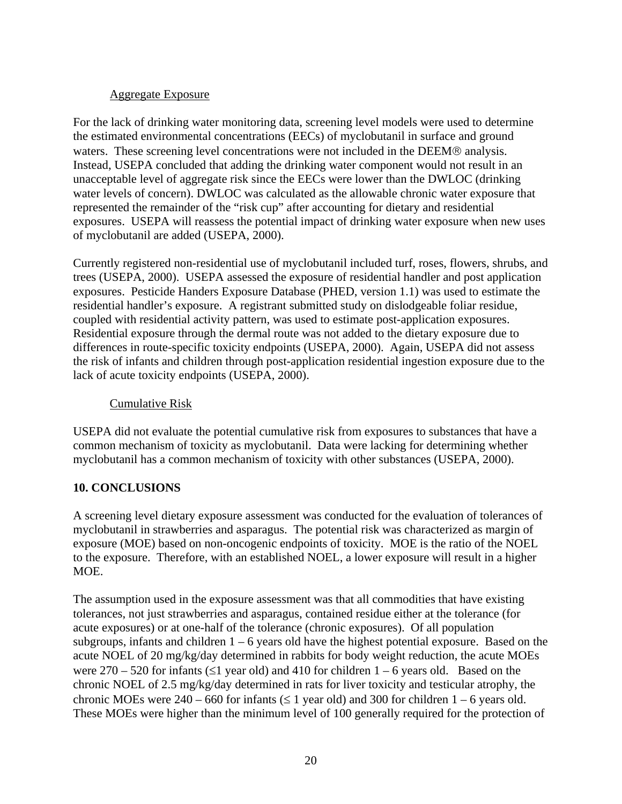#### Aggregate Exposure

<span id="page-24-0"></span>For the lack of drinking water monitoring data, screening level models were used to determine the estimated environmental concentrations (EECs) of myclobutanil in surface and ground waters. These screening level concentrations were not included in the DEEM® analysis. Instead, USEPA concluded that adding the drinking water component would not result in an unacceptable level of aggregate risk since the EECs were lower than the DWLOC (drinking water levels of concern). DWLOC was calculated as the allowable chronic water exposure that represented the remainder of the "risk cup" after accounting for dietary and residential exposures. USEPA will reassess the potential impact of drinking water exposure when new uses of myclobutanil are added (USEPA, 2000).

Currently registered non-residential use of myclobutanil included turf, roses, flowers, shrubs, and trees (USEPA, 2000). USEPA assessed the exposure of residential handler and post application exposures. Pesticide Handers Exposure Database (PHED, version 1.1) was used to estimate the residential handler's exposure. A registrant submitted study on dislodgeable foliar residue, coupled with residential activity pattern, was used to estimate post-application exposures. Residential exposure through the dermal route was not added to the dietary exposure due to differences in route-specific toxicity endpoints (USEPA, 2000). Again, USEPA did not assess the risk of infants and children through post-application residential ingestion exposure due to the lack of acute toxicity endpoints (USEPA, 2000).

#### Cumulative Risk

USEPA did not evaluate the potential cumulative risk from exposures to substances that have a common mechanism of toxicity as myclobutanil. Data were lacking for determining whether myclobutanil has a common mechanism of toxicity with other substances (USEPA, 2000).

#### **10. CONCLUSIONS**

A screening level dietary exposure assessment was conducted for the evaluation of tolerances of myclobutanil in strawberries and asparagus. The potential risk was characterized as margin of exposure (MOE) based on non-oncogenic endpoints of toxicity. MOE is the ratio of the NOEL to the exposure. Therefore, with an established NOEL, a lower exposure will result in a higher MOE.

The assumption used in the exposure assessment was that all commodities that have existing tolerances, not just strawberries and asparagus, contained residue either at the tolerance (for acute exposures) or at one-half of the tolerance (chronic exposures). Of all population subgroups, infants and children  $1 - 6$  years old have the highest potential exposure. Based on the acute NOEL of 20 mg/kg/day determined in rabbits for body weight reduction, the acute MOEs were  $270 - 520$  for infants ( $\leq 1$  year old) and 410 for children 1 – 6 years old. Based on the chronic NOEL of 2.5 mg/kg/day determined in rats for liver toxicity and testicular atrophy, the chronic MOEs were  $240 - 660$  for infants ( $\leq 1$  year old) and 300 for children  $1 - 6$  years old. These MOEs were higher than the minimum level of 100 generally required for the protection of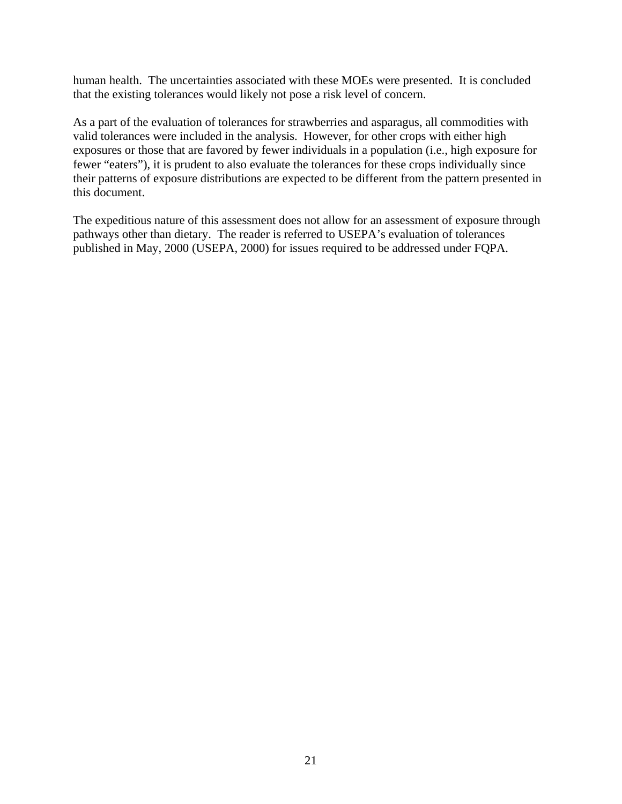human health. The uncertainties associated with these MOEs were presented. It is concluded that the existing tolerances would likely not pose a risk level of concern.

As a part of the evaluation of tolerances for strawberries and asparagus, all commodities with valid tolerances were included in the analysis. However, for other crops with either high exposures or those that are favored by fewer individuals in a population (i.e., high exposure for fewer "eaters"), it is prudent to also evaluate the tolerances for these crops individually since their patterns of exposure distributions are expected to be different from the pattern presented in this document.

The expeditious nature of this assessment does not allow for an assessment of exposure through pathways other than dietary. The reader is referred to USEPA's evaluation of tolerances published in May, 2000 (USEPA, 2000) for issues required to be addressed under FQPA.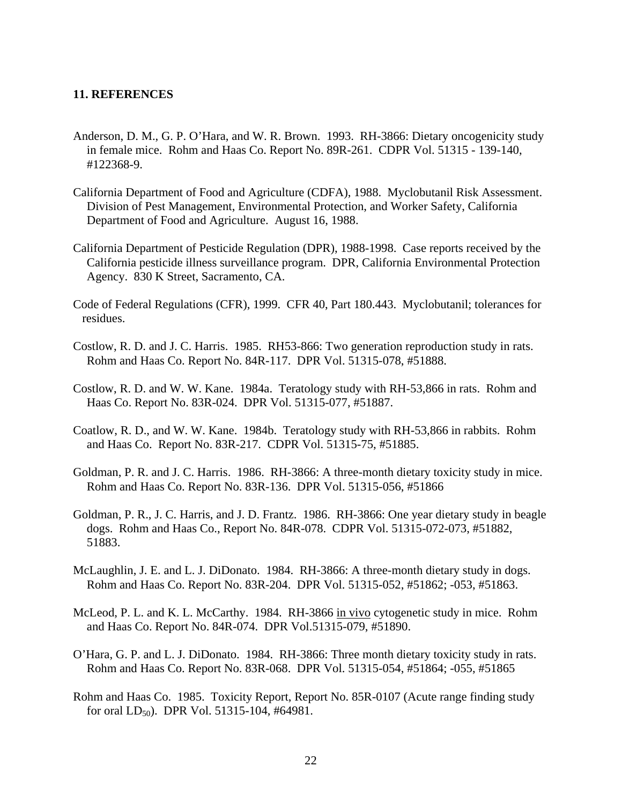#### <span id="page-26-0"></span>**11. REFERENCES**

- Anderson, D. M., G. P. O'Hara, and W. R. Brown. 1993. RH-3866: Dietary oncogenicity study in female mice. Rohm and Haas Co. Report No. 89R-261. CDPR Vol. 51315 - 139-140, #122368-9.
- California Department of Food and Agriculture (CDFA), 1988. Myclobutanil Risk Assessment. Division of Pest Management, Environmental Protection, and Worker Safety, California Department of Food and Agriculture. August 16, 1988.
- California Department of Pesticide Regulation (DPR), 1988-1998. Case reports received by the California pesticide illness surveillance program. DPR, California Environmental Protection Agency. 830 K Street, Sacramento, CA.
- Code of Federal Regulations (CFR), 1999. CFR 40, Part 180.443. Myclobutanil; tolerances for residues.
- Costlow, R. D. and J. C. Harris. 1985. RH53-866: Two generation reproduction study in rats. Rohm and Haas Co. Report No. 84R-117. DPR Vol. 51315-078, #51888.
- Costlow, R. D. and W. W. Kane. 1984a. Teratology study with RH-53,866 in rats. Rohm and Haas Co. Report No. 83R-024. DPR Vol. 51315-077, #51887.
- Coatlow, R. D., and W. W. Kane. 1984b. Teratology study with RH-53,866 in rabbits. Rohm and Haas Co. Report No. 83R-217. CDPR Vol. 51315-75, #51885.
- Goldman, P. R. and J. C. Harris. 1986. RH-3866: A three-month dietary toxicity study in mice. Rohm and Haas Co. Report No. 83R-136. DPR Vol. 51315-056, #51866
- Goldman, P. R., J. C. Harris, and J. D. Frantz. 1986. RH-3866: One year dietary study in beagle dogs. Rohm and Haas Co., Report No. 84R-078. CDPR Vol. 51315-072-073, #51882, 51883.
- McLaughlin, J. E. and L. J. DiDonato. 1984. RH-3866: A three-month dietary study in dogs. Rohm and Haas Co. Report No. 83R-204. DPR Vol. 51315-052, #51862; -053, #51863.
- McLeod, P. L. and K. L. McCarthy. 1984. RH-3866 in vivo cytogenetic study in mice. Rohm and Haas Co. Report No. 84R-074. DPR Vol.51315-079, #51890.
- O'Hara, G. P. and L. J. DiDonato. 1984. RH-3866: Three month dietary toxicity study in rats. Rohm and Haas Co. Report No. 83R-068. DPR Vol. 51315-054, #51864; -055, #51865
- Rohm and Haas Co. 1985. Toxicity Report, Report No. 85R-0107 (Acute range finding study for oral  $LD_{50}$ ). DPR Vol. 51315-104, #64981.